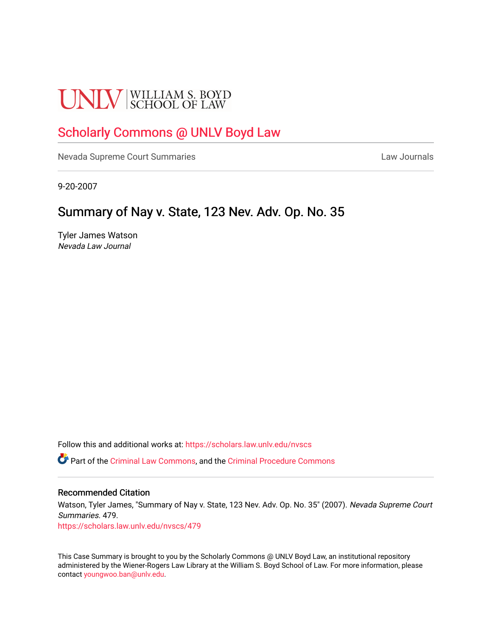# **UNLV** SCHOOL OF LAW

## [Scholarly Commons @ UNLV Boyd Law](https://scholars.law.unlv.edu/)

[Nevada Supreme Court Summaries](https://scholars.law.unlv.edu/nvscs) **Law Journals** Law Journals

9-20-2007

## Summary of Nay v. State, 123 Nev. Adv. Op. No. 35

Tyler James Watson Nevada Law Journal

Follow this and additional works at: [https://scholars.law.unlv.edu/nvscs](https://scholars.law.unlv.edu/nvscs?utm_source=scholars.law.unlv.edu%2Fnvscs%2F479&utm_medium=PDF&utm_campaign=PDFCoverPages)

Part of the [Criminal Law Commons,](http://network.bepress.com/hgg/discipline/912?utm_source=scholars.law.unlv.edu%2Fnvscs%2F479&utm_medium=PDF&utm_campaign=PDFCoverPages) and the [Criminal Procedure Commons](http://network.bepress.com/hgg/discipline/1073?utm_source=scholars.law.unlv.edu%2Fnvscs%2F479&utm_medium=PDF&utm_campaign=PDFCoverPages)

#### Recommended Citation

Watson, Tyler James, "Summary of Nay v. State, 123 Nev. Adv. Op. No. 35" (2007). Nevada Supreme Court Summaries. 479.

[https://scholars.law.unlv.edu/nvscs/479](https://scholars.law.unlv.edu/nvscs/479?utm_source=scholars.law.unlv.edu%2Fnvscs%2F479&utm_medium=PDF&utm_campaign=PDFCoverPages)

This Case Summary is brought to you by the Scholarly Commons @ UNLV Boyd Law, an institutional repository administered by the Wiener-Rogers Law Library at the William S. Boyd School of Law. For more information, please contact [youngwoo.ban@unlv.edu](mailto:youngwoo.ban@unlv.edu).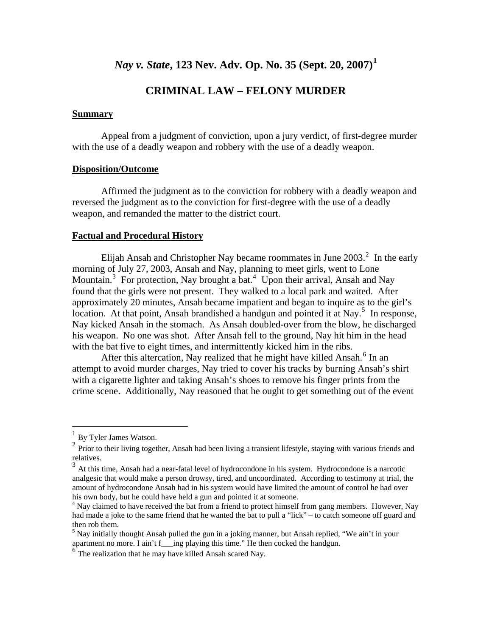### *Nay v. State***, 123 Nev. Adv. Op. No. 35 (Sept. 20, 2007)[1](#page-1-0)**

#### **CRIMINAL LAW – FELONY MURDER**

#### **Summary**

 Appeal from a judgment of conviction, upon a jury verdict, of first-degree murder with the use of a deadly weapon and robbery with the use of a deadly weapon.

#### **Disposition/Outcome**

 Affirmed the judgment as to the conviction for robbery with a deadly weapon and reversed the judgment as to the conviction for first-degree with the use of a deadly weapon, and remanded the matter to the district court.

#### **Factual and Procedural History**

Elijah Ansah and Christopher Nay became roommates in June  $2003<sup>2</sup>$  $2003<sup>2</sup>$ . In the early morning of July 27, 2003, Ansah and Nay, planning to meet girls, went to Lone Mountain.<sup>[3](#page-1-2)</sup> For protection, Nay brought a bat.<sup>[4](#page-1-3)</sup> Upon their arrival, Ansah and Nay found that the girls were not present. They walked to a local park and waited. After approximately 20 minutes, Ansah became impatient and began to inquire as to the girl's location. At that point, Ansah brandished a handgun and pointed it at Nay.<sup>[5](#page-1-4)</sup> In response, Nay kicked Ansah in the stomach. As Ansah doubled-over from the blow, he discharged his weapon. No one was shot. After Ansah fell to the ground, Nay hit him in the head with the bat five to eight times, and intermittently kicked him in the ribs.

crime scene. Additionally, Nay reasoned that he ought to get something out of the event After this altercation, Nay realized that he might have killed Ansah.<sup>[6](#page-1-5)</sup> In an attempt to avoid murder charges, Nay tried to cover his tracks by burning Ansah's shirt with a cigarette lighter and taking Ansah's shoes to remove his finger prints from the

 $\overline{a}$ 

<span id="page-1-1"></span><span id="page-1-0"></span><sup>&</sup>lt;sup>1</sup> By Tyler James Watson.<br><sup>2</sup> Prior to their living together, Ansah had been living a transient lifestyle, staying with various friends and

<span id="page-1-2"></span>relatives.<br> $3$  At this time, Ansah had a near-fatal level of hydrocondone in his system. Hydrocondone is a narcotic analgesic that would make a person drowsy, tired, and uncoordinated. According to testimony at trial, the amount of hydrocondone Ansah had in his system would have limited the amount of control he had over his own body, but he could have held a gun and pointed it at someone.

<span id="page-1-3"></span><sup>&</sup>lt;sup>4</sup> Nay claimed to have received the bat from a friend to protect himself from gang members. However, Nay had made a joke to the same friend that he wanted the bat to pull a "lick" – to catch someone off guard and then rob them.

<span id="page-1-4"></span><sup>&</sup>lt;sup>5</sup> Nay initially thought Ansah pulled the gun in a joking manner, but Ansah replied, "We ain't in your apartment no more. I ain't f\_\_ing playing this time." He then cocked the handgun.

<span id="page-1-5"></span> $<sup>6</sup>$  The realization that he may have killed Ansah scared Nay.</sup>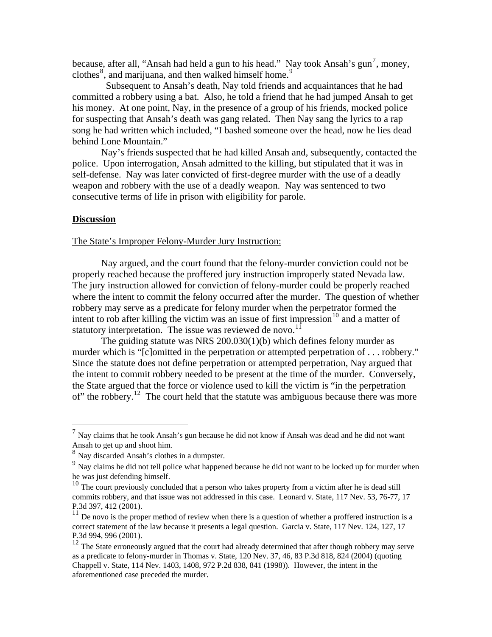because, after all, "Ansah had held a gun to his head." Nay took Ansah's gun<sup>[7](#page-2-0)</sup>, money, clothes $\delta$ , and marijuana, and then walked himself home.<sup>[9](#page-2-2)</sup>

 Subsequent to Ansah's death, Nay told friends and acquaintances that he had committed a robbery using a bat. Also, he told a friend that he had jumped Ansah to get his money. At one point, Nay, in the presence of a group of his friends, mocked police for suspecting that Ansah's death was gang related. Then Nay sang the lyrics to a rap song he had written which included, "I bashed someone over the head, now he lies dead behind Lone Mountain."

 Nay's friends suspected that he had killed Ansah and, subsequently, contacted the police. Upon interrogation, Ansah admitted to the killing, but stipulated that it was in self-defense. Nay was later convicted of first-degree murder with the use of a deadly weapon and robbery with the use of a deadly weapon. Nay was sentenced to two consecutive terms of life in prison with eligibility for parole.

#### **Discussion**

 $\overline{a}$ 

#### The State's Improper Felony-Murder Jury Instruction:

 Nay argued, and the court found that the felony-murder conviction could not be properly reached because the proffered jury instruction improperly stated Nevada law. The jury instruction allowed for conviction of felony-murder could be properly reached where the intent to commit the felony occurred after the murder. The question of whether robbery may serve as a predicate for felony murder when the perpetrator formed the intent to rob after killing the victim was an issue of first impression<sup>[10](#page-2-3)</sup> and a matter of statutory interpretation. The issue was reviewed de novo.<sup>[11](#page-2-4)</sup>

 The guiding statute was NRS 200.030(1)(b) which defines felony murder as murder which is "[c]omitted in the perpetration or attempted perpetration of . . . robbery." Since the statute does not define perpetration or attempted perpetration, Nay argued that the intent to commit robbery needed to be present at the time of the murder. Conversely, the State argued that the force or violence used to kill the victim is "in the perpetration of" the robbery.<sup>[12](#page-2-5)</sup> The court held that the statute was ambiguous because there was more

<span id="page-2-0"></span> $<sup>7</sup>$  Nay claims that he took Ansah's gun because he did not know if Ansah was dead and he did not want</sup> Ansah to get up and shoot him.<br><sup>8</sup> Nay discarded Ansah's clothes in a dumpster.

<span id="page-2-1"></span>

<span id="page-2-2"></span><sup>&</sup>lt;sup>9</sup> Nay claims he did not tell police what happened because he did not want to be locked up for murder when he was just defending himself.

<span id="page-2-3"></span><sup>&</sup>lt;sup>10</sup> The court previously concluded that a person who takes property from a victim after he is dead still commits robbery, and that issue was not addressed in this case. Leonard v. State, 117 Nev. 53, 76-77, 17 P.3d 397, 412 (2001).

<span id="page-2-4"></span> $11$  De novo is the proper method of review when there is a question of whether a proffered instruction is a correct statement of the law because it presents a legal question. Garcia v. State, 117 Nev. 124, 127, 17 P.3d 994, 996 (2001).

<span id="page-2-5"></span><sup>&</sup>lt;sup>12</sup> The State erroneously argued that the court had already determined that after though robbery may serve as a predicate to felony-murder in Thomas v. State, 120 Nev. 37, 46, 83 P.3d 818, 824 (2004) (quoting Chappell v. State, 114 Nev. 1403, 1408, 972 P.2d 838, 841 (1998)). However, the intent in the aforementioned case preceded the murder.